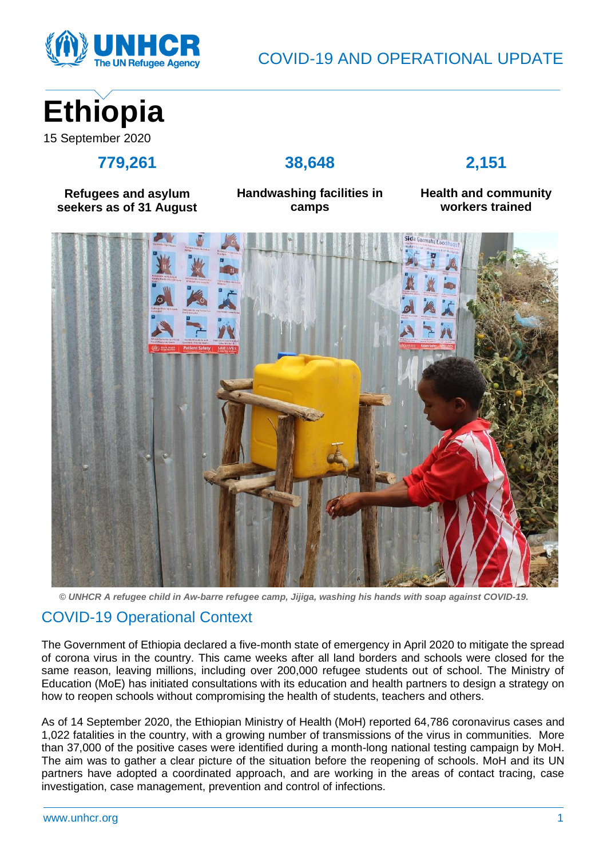

# **Ethiopia** 15 September 2020

#### **779,261**

#### **38,648**

## **2,151**

**Refugees and asylum seekers as of 31 August** **Handwashing facilities in camps**

**Health and community workers trained**



*© UNHCR A refugee child in Aw-barre refugee camp, Jijiga, washing his hands with soap against COVID-19.*

### COVID-19 Operational Context

The Government of Ethiopia declared a five-month state of emergency in April 2020 to mitigate the spread of corona virus in the country. This came weeks after all land borders and schools were closed for the same reason, leaving millions, including over 200,000 refugee students out of school. The Ministry of Education (MoE) has initiated consultations with its education and health partners to design a strategy on how to reopen schools without compromising the health of students, teachers and others.

As of 14 September 2020, the Ethiopian Ministry of Health (MoH) reported 64,786 coronavirus cases and 1,022 fatalities in the country, with a growing number of transmissions of the virus in communities. More than 37,000 of the positive cases were identified during a month-long national testing campaign by MoH. The aim was to gather a clear picture of the situation before the reopening of schools. MoH and its UN partners have adopted a coordinated approach, and are working in the areas of contact tracing, case investigation, case management, prevention and control of infections.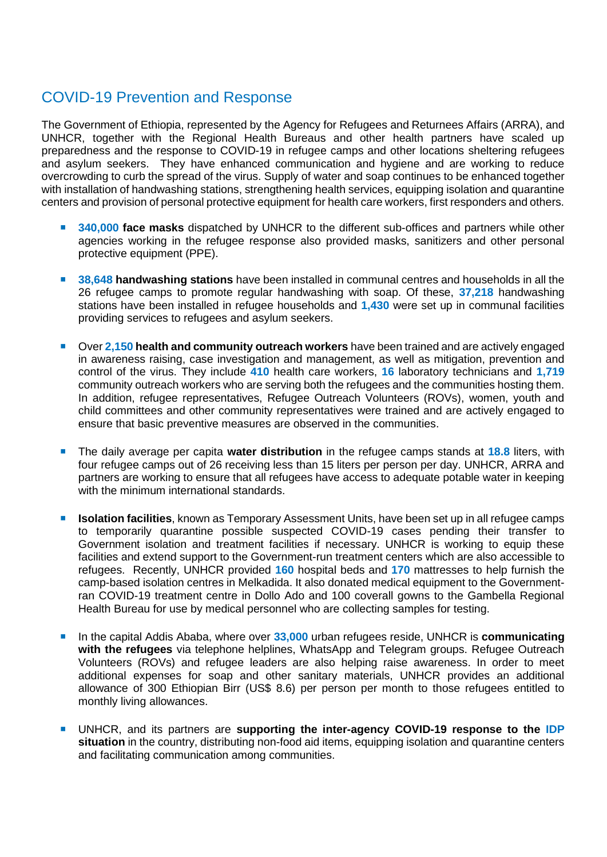#### COVID-19 Prevention and Response

The Government of Ethiopia, represented by the Agency for Refugees and Returnees Affairs (ARRA), and UNHCR, together with the Regional Health Bureaus and other health partners have scaled up preparedness and the response to COVID-19 in refugee camps and other locations sheltering refugees and asylum seekers. They have enhanced communication and hygiene and are working to reduce overcrowding to curb the spread of the virus. Supply of water and soap continues to be enhanced together with installation of handwashing stations, strengthening health services, equipping isolation and quarantine centers and provision of personal protective equipment for health care workers, first responders and others.

- 340,000 face masks dispatched by UNHCR to the different sub-offices and partners while other agencies working in the refugee response also provided masks, sanitizers and other personal protective equipment (PPE).
- 38.648 **handwashing stations** have been installed in communal centres and households in all the 26 refugee camps to promote regular handwashing with soap. Of these, **37,218** handwashing stations have been installed in refugee households and **1,430** were set up in communal facilities providing services to refugees and asylum seekers.
- **Digc 2,150 health and community outreach workers** have been trained and are actively engaged in awareness raising, case investigation and management, as well as mitigation, prevention and control of the virus. They include **410** health care workers, **16** laboratory technicians and **1,719** community outreach workers who are serving both the refugees and the communities hosting them. In addition, refugee representatives, Refugee Outreach Volunteers (ROVs), women, youth and child committees and other community representatives were trained and are actively engaged to ensure that basic preventive measures are observed in the communities.
- The daily average per capita **water distribution** in the refugee camps stands at **18.8** liters, with four refugee camps out of 26 receiving less than 15 liters per person per day. UNHCR, ARRA and partners are working to ensure that all refugees have access to adequate potable water in keeping with the minimum international standards.
- **ISolation facilities**, known as Temporary Assessment Units, have been set up in all refugee camps to temporarily quarantine possible suspected COVID-19 cases pending their transfer to Government isolation and treatment facilities if necessary. UNHCR is working to equip these facilities and extend support to the Government-run treatment centers which are also accessible to refugees. Recently, UNHCR provided **160** hospital beds and **170** mattresses to help furnish the camp-based isolation centres in Melkadida. It also donated medical equipment to the Governmentran COVID-19 treatment centre in Dollo Ado and 100 coverall gowns to the Gambella Regional Health Bureau for use by medical personnel who are collecting samples for testing.
- In the capital Addis Ababa, where over **33,000** urban refugees reside, UNHCR is **communicating with the refugees** via telephone helplines, WhatsApp and Telegram groups. Refugee Outreach Volunteers (ROVs) and refugee leaders are also helping raise awareness. In order to meet additional expenses for soap and other sanitary materials, UNHCR provides an additional allowance of 300 Ethiopian Birr (US\$ 8.6) per person per month to those refugees entitled to monthly living allowances.
- UNHCR, and its partners are **supporting the inter-agency COVID-19 response to the IDP situation** in the country, distributing non-food aid items, equipping isolation and quarantine centers and facilitating communication among communities.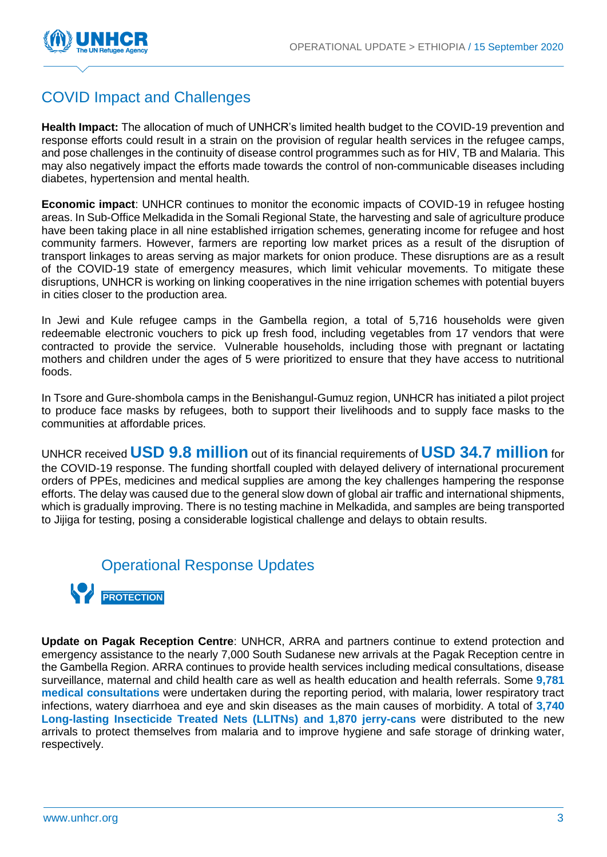

### COVID Impact and Challenges

**Health Impact:** The allocation of much of UNHCR's limited health budget to the COVID-19 prevention and response efforts could result in a strain on the provision of regular health services in the refugee camps, and pose challenges in the continuity of disease control programmes such as for HIV, TB and Malaria. This may also negatively impact the efforts made towards the control of non-communicable diseases including diabetes, hypertension and mental health.

**Economic impact**: UNHCR continues to monitor the economic impacts of COVID-19 in refugee hosting areas. In Sub-Office Melkadida in the Somali Regional State, the harvesting and sale of agriculture produce have been taking place in all nine established irrigation schemes, generating income for refugee and host community farmers. However, farmers are reporting low market prices as a result of the disruption of transport linkages to areas serving as major markets for onion produce. These disruptions are as a result of the COVID-19 state of emergency measures, which limit vehicular movements. To mitigate these disruptions, UNHCR is working on linking cooperatives in the nine irrigation schemes with potential buyers in cities closer to the production area.

In Jewi and Kule refugee camps in the Gambella region, a total of 5,716 households were given redeemable electronic vouchers to pick up fresh food, including vegetables from 17 vendors that were contracted to provide the service. Vulnerable households, including those with pregnant or lactating mothers and children under the ages of 5 were prioritized to ensure that they have access to nutritional foods.

In Tsore and Gure-shombola camps in the Benishangul-Gumuz region, UNHCR has initiated a pilot project to produce face masks by refugees, both to support their livelihoods and to supply face masks to the communities at affordable prices.

UNHCR received **USD 9.8 million** out of its financial requirements of **USD 34.7 million** for the COVID-19 response. The funding shortfall coupled with delayed delivery of international procurement orders of PPEs, medicines and medical supplies are among the key challenges hampering the response efforts. The delay was caused due to the general slow down of global air traffic and international shipments, which is gradually improving. There is no testing machine in Melkadida, and samples are being transported to Jijiga for testing, posing a considerable logistical challenge and delays to obtain results.

#### Operational Response Updates



**Update on Pagak Reception Centre**: UNHCR, ARRA and partners continue to extend protection and emergency assistance to the nearly 7,000 South Sudanese new arrivals at the Pagak Reception centre in the Gambella Region. ARRA continues to provide health services including medical consultations, disease surveillance, maternal and child health care as well as health education and health referrals. Some **9,781 medical consultations** were undertaken during the reporting period, with malaria, lower respiratory tract infections, watery diarrhoea and eye and skin diseases as the main causes of morbidity. A total of **3,740 Long-lasting Insecticide Treated Nets (LLITNs) and 1,870 jerry-cans** were distributed to the new arrivals to protect themselves from malaria and to improve hygiene and safe storage of drinking water, respectively.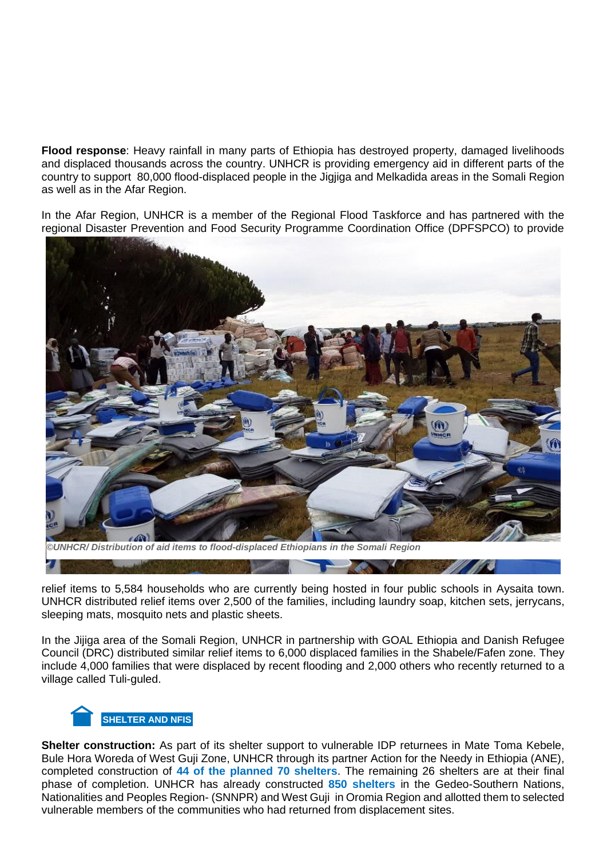**Flood response**: Heavy rainfall in many parts of Ethiopia has destroyed property, damaged livelihoods and displaced thousands across the country. UNHCR is providing emergency aid in different parts of the country to support 80,000 flood-displaced people in the Jigjiga and Melkadida areas in the Somali Region as well as in the Afar Region.

In the Afar Region, UNHCR is a member of the Regional Flood Taskforce and has partnered with the regional Disaster Prevention and Food Security Programme Coordination Office (DPFSPCO) to provide



relief items to 5,584 households who are currently being hosted in four public schools in Aysaita town. UNHCR distributed relief items over 2,500 of the families, including laundry soap, kitchen sets, jerrycans, sleeping mats, mosquito nets and plastic sheets.

**STATISTICS** 

In the Jijiga area of the Somali Region, UNHCR in partnership with GOAL Ethiopia and Danish Refugee Council (DRC) distributed similar relief items to 6,000 displaced families in the Shabele/Fafen zone. They include 4,000 families that were displaced by recent flooding and 2,000 others who recently returned to a village called Tuli-guled.



**Shelter construction:** As part of its shelter support to vulnerable IDP returnees in Mate Toma Kebele, Bule Hora Woreda of West Guji Zone, UNHCR through its partner Action for the Needy in Ethiopia (ANE), completed construction of **44 of the planned 70 shelters**. The remaining 26 shelters are at their final phase of completion. UNHCR has already constructed **850 shelters** in the Gedeo-Southern Nations, Nationalities and Peoples Region- (SNNPR) and West Guji in Oromia Region and allotted them to selected vulnerable members of the communities who had returned from displacement sites.